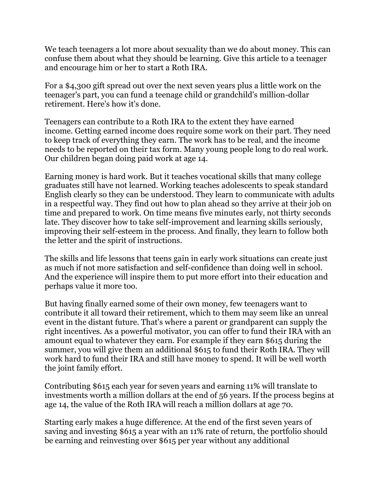We teach teenagers a lot more about sexuality than we do about money. This can confuse them about what they should be learning. Give this article to a teenager and encourage him or her to start a Roth IRA.

For a \$4,300 gift spread out over the next seven years plus a little work on the teenager's part, you can fund a teenage child or grandchild's million-dollar retirement. Here's how it's done.

Teenagers can contribute to a Roth IRA to the extent they have earned income. Getting earned income does require some work on their part. They need to keep track of everything they earn. The work has to be real, and the income needs to be reported on their tax form. Many young people long to do real work. Our children began doing paid work at age 14.

Earning money is hard work. But it teaches vocational skills that many college graduates still have not learned. Working teaches adolescents to speak standard English clearly so they can be understood. They learn to communicate with adults in a respectful way. They find out how to plan ahead so they arrive at their job on time and prepared to work. On time means five minutes early, not thirty seconds late. They discover how to take self-improvement and learning skills seriously, improving their self-esteem in the process. And finally, they learn to follow both the letter and the spirit of instructions.

The skills and life lessons that teens gain in early work situations can create just as much if not more satisfaction and self-confidence than doing well in school. And the experience will inspire them to put more effort into their education and perhaps value it more too.

But having finally earned some of their own money, few teenagers want to contribute it all toward their retirement, which to them may seem like an unreal event in the distant future. That's where a parent or grandparent can supply the right incentives. As a powerful motivator, you can offer to fund their IRA with an amount equal to whatever they earn. For example if they earn \$615 during the summer, you will give them an additional \$615 to fund their Roth IRA. They will work hard to fund their IRA and still have money to spend. It will be well worth the joint family effort.

Contributing \$615 each year for seven years and earning 11% will translate to investments worth a million dollars at the end of 56 years. If the process begins at age 14, the value of the Roth IRA will reach a million dollars at age 70.

Starting early makes a huge difference. At the end of the first seven years of saving and investing \$615 a year with an 11% rate of return, the portfolio should be earning and reinvesting over \$615 per year without any additional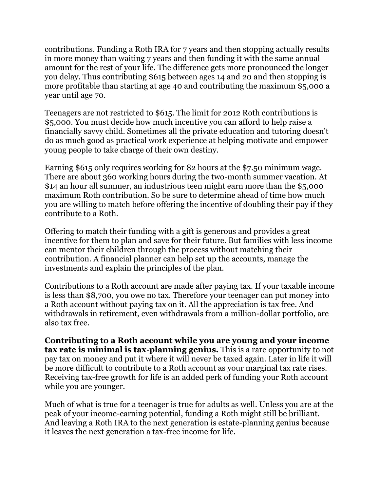contributions. Funding a Roth IRA for 7 years and then stopping actually results in more money than waiting 7 years and then funding it with the same annual amount for the rest of your life. The difference gets more pronounced the longer you delay. Thus contributing \$615 between ages 14 and 20 and then stopping is more profitable than starting at age 40 and contributing the maximum \$5,000 a year until age 70.

Teenagers are not restricted to \$615. The limit for 2012 Roth contributions is \$5,000. You must decide how much incentive you can afford to help raise a financially savvy child. Sometimes all the private education and tutoring doesn't do as much good as practical work experience at helping motivate and empower young people to take charge of their own destiny.

Earning \$615 only requires working for 82 hours at the \$7.50 minimum wage. There are about 360 working hours during the two-month summer vacation. At \$14 an hour all summer, an industrious teen might earn more than the \$5,000 maximum Roth contribution. So be sure to determine ahead of time how much you are willing to match before offering the incentive of doubling their pay if they contribute to a Roth.

Offering to match their funding with a gift is generous and provides a great incentive for them to plan and save for their future. But families with less income can mentor their children through the process without matching their contribution. A financial planner can help set up the accounts, manage the investments and explain the principles of the plan.

Contributions to a Roth account are made after paying tax. If your taxable income is less than \$8,700, you owe no tax. Therefore your teenager can put money into a Roth account without paying tax on it. All the appreciation is tax free. And withdrawals in retirement, even withdrawals from a million-dollar portfolio, are also tax free.

**Contributing to a Roth account while you are young and your income tax rate is minimal is tax-planning genius.** This is a rare opportunity to not pay tax on money and put it where it will never be taxed again. Later in life it will be more difficult to contribute to a Roth account as your marginal tax rate rises. Receiving tax-free growth for life is an added perk of funding your Roth account while you are younger.

Much of what is true for a teenager is true for adults as well. Unless you are at the peak of your income-earning potential, funding a Roth might still be brilliant. And leaving a Roth IRA to the next generation is estate-planning genius because it leaves the next generation a tax-free income for life.